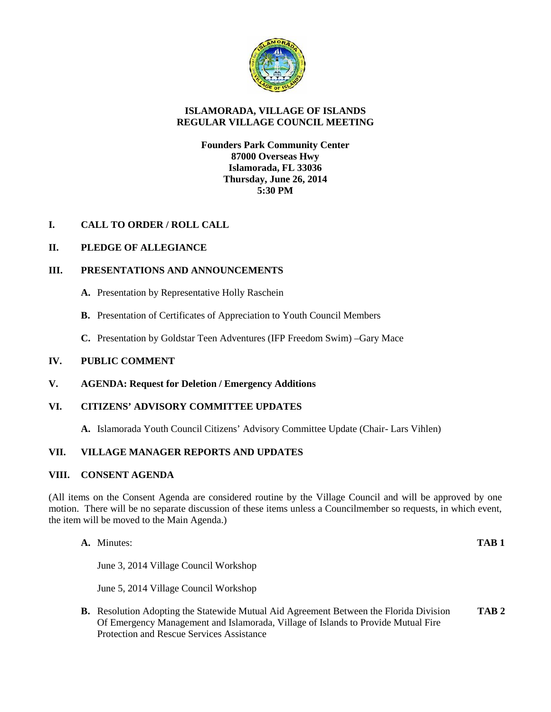

# **ISLAMORADA, VILLAGE OF ISLANDS REGULAR VILLAGE COUNCIL MEETING**

## **Founders Park Community Center 87000 Overseas Hwy Islamorada, FL 33036 Thursday, June 26, 2014 5:30 PM**

# **I. CALL TO ORDER / ROLL CALL**

# **II. PLEDGE OF ALLEGIANCE**

## **III. PRESENTATIONS AND ANNOUNCEMENTS**

- **A.** Presentation by Representative Holly Raschein
- **B.** Presentation of Certificates of Appreciation to Youth Council Members
- **C.** Presentation by Goldstar Teen Adventures (IFP Freedom Swim) –Gary Mace

## **IV. PUBLIC COMMENT**

**V. AGENDA: Request for Deletion / Emergency Additions**

### **VI. CITIZENS' ADVISORY COMMITTEE UPDATES**

**A.** Islamorada Youth Council Citizens' Advisory Committee Update (Chair- Lars Vihlen)

# **VII. VILLAGE MANAGER REPORTS AND UPDATES**

## **VIII. CONSENT AGENDA**

(All items on the Consent Agenda are considered routine by the Village Council and will be approved by one motion. There will be no separate discussion of these items unless a Councilmember so requests, in which event, the item will be moved to the Main Agenda.)

**A.** Minutes: **TAB 1**

June 3, 2014 Village Council Workshop

June 5, 2014 Village Council Workshop

**B.** Resolution Adopting the Statewide Mutual Aid Agreement Between the Florida Division **TAB 2** Of Emergency Management and Islamorada, Village of Islands to Provide Mutual Fire Protection and Rescue Services Assistance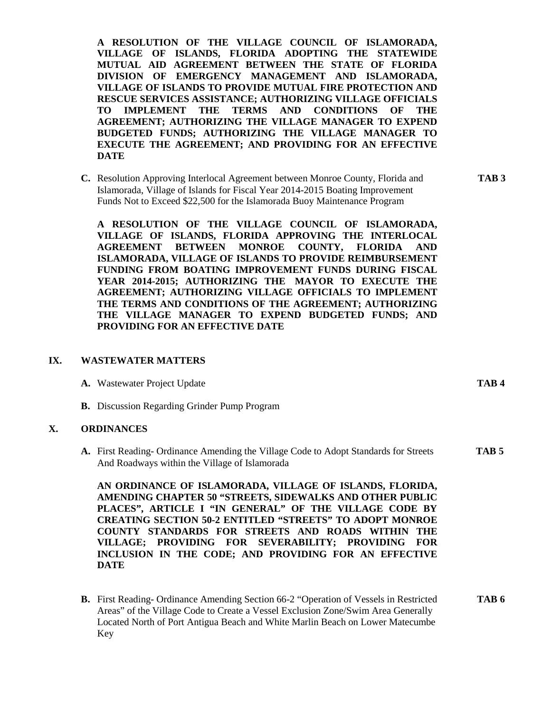**A RESOLUTION OF THE VILLAGE COUNCIL OF ISLAMORADA, VILLAGE OF ISLANDS, FLORIDA ADOPTING THE STATEWIDE MUTUAL AID AGREEMENT BETWEEN THE STATE OF FLORIDA DIVISION OF EMERGENCY MANAGEMENT AND ISLAMORADA, VILLAGE OF ISLANDS TO PROVIDE MUTUAL FIRE PROTECTION AND RESCUE SERVICES ASSISTANCE; AUTHORIZING VILLAGE OFFICIALS TO IMPLEMENT THE TERMS AND CONDITIONS OF THE AGREEMENT; AUTHORIZING THE VILLAGE MANAGER TO EXPEND BUDGETED FUNDS; AUTHORIZING THE VILLAGE MANAGER TO EXECUTE THE AGREEMENT; AND PROVIDING FOR AN EFFECTIVE DATE**

**C.** Resolution Approving Interlocal Agreement between Monroe County, Florida and **TAB 3** Islamorada, Village of Islands for Fiscal Year 2014-2015 Boating Improvement Funds Not to Exceed \$22,500 for the Islamorada Buoy Maintenance Program

**A RESOLUTION OF THE VILLAGE COUNCIL OF ISLAMORADA, VILLAGE OF ISLANDS, FLORIDA APPROVING THE INTERLOCAL AGREEMENT BETWEEN MONROE COUNTY, FLORIDA AND ISLAMORADA, VILLAGE OF ISLANDS TO PROVIDE REIMBURSEMENT FUNDING FROM BOATING IMPROVEMENT FUNDS DURING FISCAL YEAR 2014-2015; AUTHORIZING THE MAYOR TO EXECUTE THE AGREEMENT; AUTHORIZING VILLAGE OFFICIALS TO IMPLEMENT THE TERMS AND CONDITIONS OF THE AGREEMENT; AUTHORIZING THE VILLAGE MANAGER TO EXPEND BUDGETED FUNDS; AND PROVIDING FOR AN EFFECTIVE DATE**

## **IX. WASTEWATER MATTERS**

- **A.** Wastewater Project Update **TAB 4**
- **B.** Discussion Regarding Grinder Pump Program

#### **X. ORDINANCES**

**A.** First Reading- Ordinance Amending the Village Code to Adopt Standards for Streets **TAB 5** And Roadways within the Village of Islamorada

**AN ORDINANCE OF ISLAMORADA, VILLAGE OF ISLANDS, FLORIDA, AMENDING CHAPTER 50 "STREETS, SIDEWALKS AND OTHER PUBLIC PLACES", ARTICLE I "IN GENERAL" OF THE VILLAGE CODE BY CREATING SECTION 50-2 ENTITLED "STREETS" TO ADOPT MONROE COUNTY STANDARDS FOR STREETS AND ROADS WITHIN THE VILLAGE; PROVIDING FOR SEVERABILITY; PROVIDING FOR INCLUSION IN THE CODE; AND PROVIDING FOR AN EFFECTIVE DATE**

**B.** First Reading- Ordinance Amending Section 66-2 "Operation of Vessels in Restricted **TAB 6** Areas" of the Village Code to Create a Vessel Exclusion Zone/Swim Area Generally Located North of Port Antigua Beach and White Marlin Beach on Lower Matecumbe Key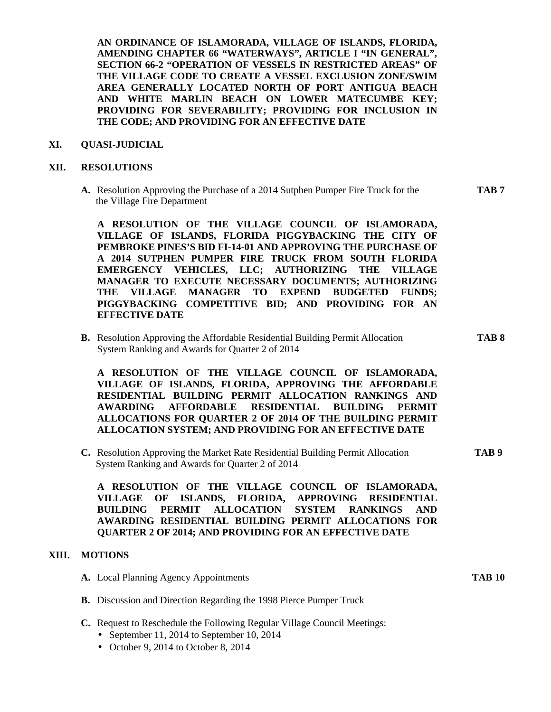**AN ORDINANCE OF ISLAMORADA, VILLAGE OF ISLANDS, FLORIDA, AMENDING CHAPTER 66 "WATERWAYS", ARTICLE I "IN GENERAL", SECTION 66-2 "OPERATION OF VESSELS IN RESTRICTED AREAS" OF THE VILLAGE CODE TO CREATE A VESSEL EXCLUSION ZONE/SWIM AREA GENERALLY LOCATED NORTH OF PORT ANTIGUA BEACH AND WHITE MARLIN BEACH ON LOWER MATECUMBE KEY; PROVIDING FOR SEVERABILITY; PROVIDING FOR INCLUSION IN THE CODE; AND PROVIDING FOR AN EFFECTIVE DATE**

#### **XI. QUASI-JUDICIAL**

#### **XII. RESOLUTIONS**

**A.** Resolution Approving the Purchase of a 2014 Sutphen Pumper Fire Truck for the **TAB 7** the Village Fire Department

**A RESOLUTION OF THE VILLAGE COUNCIL OF ISLAMORADA, VILLAGE OF ISLANDS, FLORIDA PIGGYBACKING THE CITY OF PEMBROKE PINES'S BID FI-14-01 AND APPROVING THE PURCHASE OF A 2014 SUTPHEN PUMPER FIRE TRUCK FROM SOUTH FLORIDA EMERGENCY VEHICLES, LLC; AUTHORIZING THE VILLAGE MANAGER TO EXECUTE NECESSARY DOCUMENTS; AUTHORIZING THE VILLAGE MANAGER TO EXPEND BUDGETED FUNDS; PIGGYBACKING COMPETITIVE BID; AND PROVIDING FOR AN EFFECTIVE DATE**

**B.** Resolution Approving the Affordable Residential Building Permit Allocation **TAB 8** System Ranking and Awards for Quarter 2 of 2014

**A RESOLUTION OF THE VILLAGE COUNCIL OF ISLAMORADA, VILLAGE OF ISLANDS, FLORIDA, APPROVING THE AFFORDABLE RESIDENTIAL BUILDING PERMIT ALLOCATION RANKINGS AND AWARDING AFFORDABLE RESIDENTIAL BUILDING PERMIT ALLOCATIONS FOR QUARTER 2 OF 2014 OF THE BUILDING PERMIT ALLOCATION SYSTEM; AND PROVIDING FOR AN EFFECTIVE DATE**

**C.** Resolution Approving the Market Rate Residential Building Permit Allocation **TAB 9** System Ranking and Awards for Quarter 2 of 2014

**A RESOLUTION OF THE VILLAGE COUNCIL OF ISLAMORADA, VILLAGE OF ISLANDS, FLORIDA, APPROVING RESIDENTIAL BUILDING PERMIT ALLOCATION SYSTEM RANKINGS AND AWARDING RESIDENTIAL BUILDING PERMIT ALLOCATIONS FOR QUARTER 2 OF 2014; AND PROVIDING FOR AN EFFECTIVE DATE**

#### **XIII. MOTIONS**

- **A.** Local Planning Agency Appointments **TAB 10**
- **B.** Discussion and Direction Regarding the 1998 Pierce Pumper Truck
- **C.** Request to Reschedule the Following Regular Village Council Meetings:
	- September 11, 2014 to September 10, 2014
	- October 9, 2014 to October 8, 2014